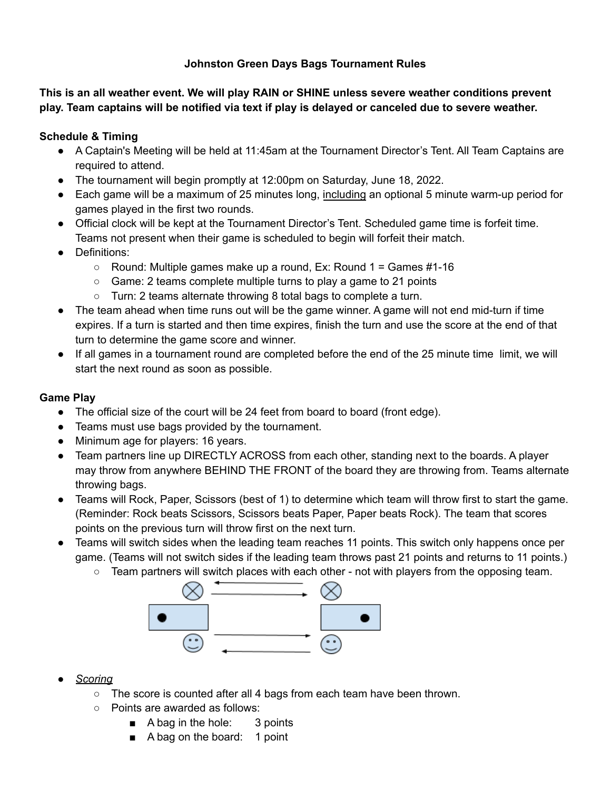## **Johnston Green Days Bags Tournament Rules**

**This is an all weather event. We will play RAIN or SHINE unless severe weather conditions prevent** play. Team captains will be notified via text if play is delayed or canceled due to severe weather.

# **Schedule & Timing**

- A Captain's Meeting will be held at 11:45am at the Tournament Director's Tent. All Team Captains are required to attend.
- The tournament will begin promptly at 12:00pm on Saturday, June 18, 2022.
- Each game will be a maximum of 25 minutes long, including an optional 5 minute warm-up period for games played in the first two rounds.
- Official clock will be kept at the Tournament Director's Tent. Scheduled game time is forfeit time. Teams not present when their game is scheduled to begin will forfeit their match.
- Definitions:
	- $\circ$  Round: Multiple games make up a round, Ex: Round 1 = Games #1-16
	- Game: 2 teams complete multiple turns to play a game to 21 points
	- Turn: 2 teams alternate throwing 8 total bags to complete a turn.
- The team ahead when time runs out will be the game winner. A game will not end mid-turn if time expires. If a turn is started and then time expires, finish the turn and use the score at the end of that turn to determine the game score and winner.
- If all games in a tournament round are completed before the end of the 25 minute time limit, we will start the next round as soon as possible.

### **Game Play**

- The official size of the court will be 24 feet from board to board (front edge).
- Teams must use bags provided by the tournament.
- Minimum age for players: 16 years.
- Team partners line up DIRECTLY ACROSS from each other, standing next to the boards. A player may throw from anywhere BEHIND THE FRONT of the board they are throwing from. Teams alternate throwing bags.
- Teams will Rock, Paper, Scissors (best of 1) to determine which team will throw first to start the game. (Reminder: Rock beats Scissors, Scissors beats Paper, Paper beats Rock). The team that scores points on the previous turn will throw first on the next turn.
- Teams will switch sides when the leading team reaches 11 points. This switch only happens once per game. (Teams will not switch sides if the leading team throws past 21 points and returns to 11 points.)
	- $\circ$  Team partners will switch places with each other not with players from the opposing team.



- *● Scoring*
	- The score is counted after all 4 bags from each team have been thrown.
	- Points are awarded as follows:
		- A bag in the hole: 3 points
		- A bag on the board: 1 point